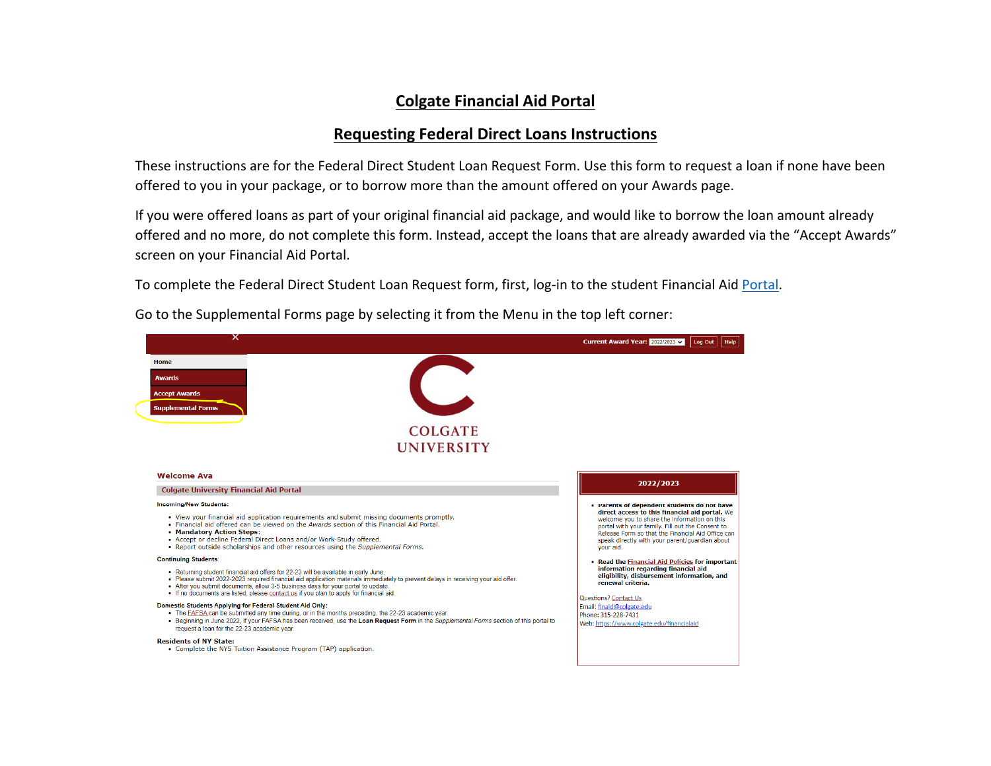## **Colgate Financial Aid Portal**

## **Requesting Federal Direct Loans Instructions**

These instructions are for the Federal Direct Student Loan Request Form. Use this form to request <sup>a</sup> loan if none have been offered to you in your package, or to borrow more than the amount offered on your Awards page.

If you were offered loans as part of your original financial aid package, and would like to borrow the loan amount already offered and no more, do not complete this form. Instead, accept the loans that are already awarded via the "Accept Awards" screen on your Financial Aid Portal.

To complete the Federal Direct Student Loan Request form, first, log-in to the student Financial Aid <u>Portal</u>.

Go to the Supplemental Forms page by selecting it from the Menu in the top left corner:

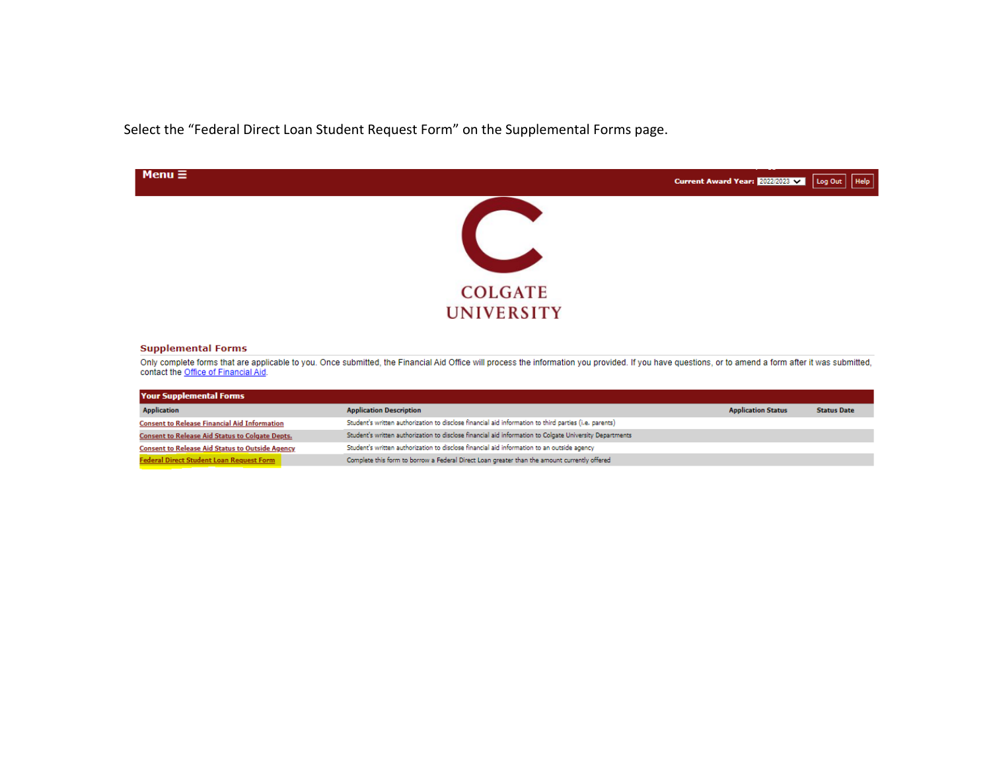Select the "Federal Direct Loan Student Request Form" on the Supplemental Forms page.



## **Supplemental Forms**

Only complete forms that are applicable to you. Once submitted, the Financial Aid Office will process the information you provided. If you have questions, or to amend a form after it was submitted, contact the Office of Fi

| <b>Your Supplemental Forms</b>                         |                                                                                                         |                           |                    |
|--------------------------------------------------------|---------------------------------------------------------------------------------------------------------|---------------------------|--------------------|
| <b>Application</b>                                     | <b>Application Description</b>                                                                          | <b>Application Status</b> | <b>Status Date</b> |
| <b>Consent to Release Financial Aid Information</b>    | Student's written authorization to disclose financial aid information to third parties (i.e. parents)   |                           |                    |
| <b>Consent to Release Aid Status to Colgate Depts.</b> | Student's written authorization to disclose financial aid information to Colgate University Departments |                           |                    |
| <b>Consent to Release Aid Status to Outside Agency</b> | Student's written authorization to disclose financial aid information to an outside agency              |                           |                    |
| Federal Direct Student Loan Request Form               | Complete this form to borrow a Federal Direct Loan greater than the amount currently offered            |                           |                    |